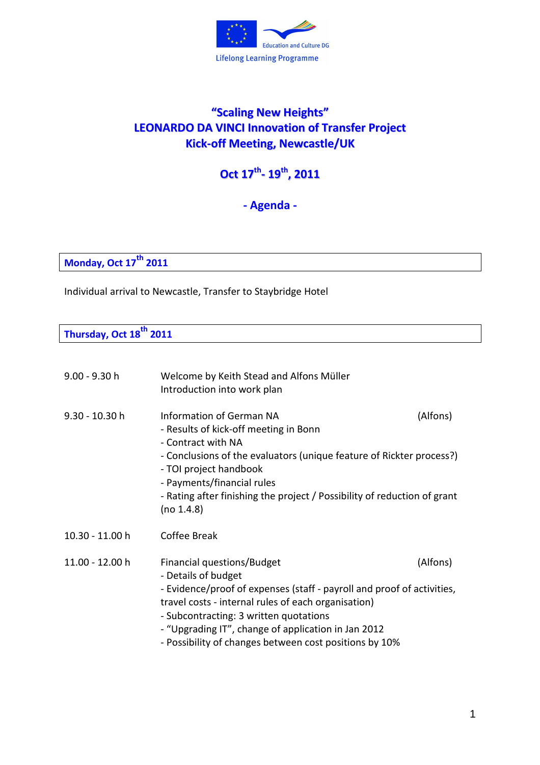

## **"Scaling New Heights" LEONARDO DA VINCI Innovation of Transfer Project Kick-off Meeting, Newcastle/UK**

**Oct 17 th - 19 th , 2011**

**- Agenda -** 

**Monday, Oct 17th 2011** 

Individual arrival to Newcastle, Transfer to Staybridge Hotel

**Thursday, Oct 18th 2011** 

| $9.00 - 9.30 h$ | Welcome by Keith Stead and Alfons Müller<br>Introduction into work plan                                                                                                                                                                                                                                                                       |          |
|-----------------|-----------------------------------------------------------------------------------------------------------------------------------------------------------------------------------------------------------------------------------------------------------------------------------------------------------------------------------------------|----------|
| 9.30 - 10.30 h  | <b>Information of German NA</b><br>- Results of kick-off meeting in Bonn<br>- Contract with NA<br>- Conclusions of the evaluators (unique feature of Rickter process?)<br>- TOI project handbook<br>- Payments/financial rules<br>- Rating after finishing the project / Possibility of reduction of grant<br>(no 1.4.8)                      | (Alfons) |
| 10.30 - 11.00 h | Coffee Break                                                                                                                                                                                                                                                                                                                                  |          |
| 11.00 - 12.00 h | Financial questions/Budget<br>- Details of budget<br>- Evidence/proof of expenses (staff - payroll and proof of activities,<br>travel costs - internal rules of each organisation)<br>- Subcontracting: 3 written quotations<br>- "Upgrading IT", change of application in Jan 2012<br>- Possibility of changes between cost positions by 10% | (Alfons) |